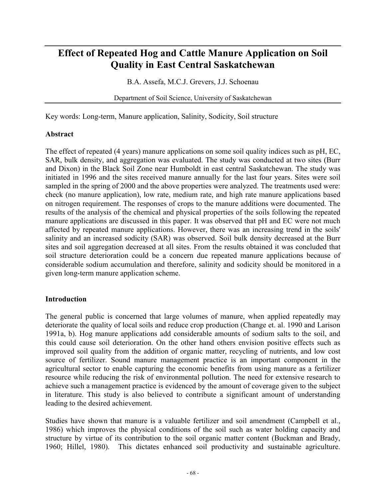# **Effect of Repeated Hog and Cattle Manure Application on Soil Quality in East Central Saskatchewan**

B.A. Assefa, M.C.J. Grevers, J.J. Schoenau

Department of Soil Science, University of Saskatchewan

Key words: Long-term, Manure application, Salinity, Sodicity, Soil structure

#### **Abstract**

The effect of repeated (4 years) manure applications on some soil quality indices such as pH, EC, SAR, bulk density, and aggregation was evaluated. The study was conducted at two sites (Burr and Dixon) in the Black Soil Zone near Humboldt in east central Saskatchewan. The study was initiated in 1996 and the sites received manure annually for the last four years. Sites were soil sampled in the spring of 2000 and the above properties were analyzed. The treatments used were: check (no manure application), low rate, medium rate, and high rate manure applications based on nitrogen requirement. The responses of crops to the manure additions were documented. The results of the analysis of the chemical and physical properties of the soils following the repeated manure applications are discussed in this paper. It was observed that pH and EC were not much affected by repeated manure applications. However, there was an increasing trend in the soils' salinity and an increased sodicity (SAR) was observed. Soil bulk density decreased at the Burr sites and soil aggregation decreased at all sites. From the results obtained it was concluded that soil structure deterioration could be a concern due repeated manure applications because of considerable sodium accumulation and therefore, salinity and sodicity should be monitored in a given long-term manure application scheme.

### **Introduction**

The general public is concerned that large volumes of manure, when applied repeatedly may deteriorate the quality of local soils and reduce crop production (Change et. al. 1990 and Larison 1991a, b). Hog manure applications add considerable amounts of sodium salts to the soil, and this could cause soil deterioration. On the other hand others envision positive effects such as improved soil quality from the addition of organic matter, recycling of nutrients, and low cost source of fertilizer. Sound manure management practice is an important component in the agricultural sector to enable capturing the economic benefits from using manure as a fertilizer resource while reducing the risk of environmental pollution. The need for extensive research to achieve such a management practice is evidenced by the amount of coverage given to the subject in literature. This study is also believed to contribute a significant amount of understanding leading to the desired achievement.

Studies have shown that manure is a valuable fertilizer and soil amendment (Campbell et al., 1986) which improves the physical conditions of the soil such as water holding capacity and structure by virtue of its contribution to the soil organic matter content (Buckman and Brady, 1960; Hillel, 1980). This dictates enhanced soil productivity and sustainable agriculture.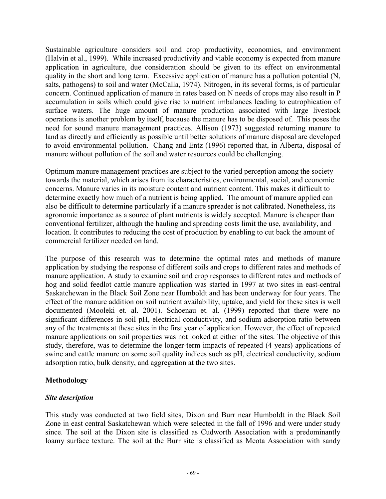Sustainable agriculture considers soil and crop productivity, economics, and environment (Halvin et al., 1999). While increased productivity and viable economy is expected from manure application in agriculture, due consideration should be given to its effect on environmental quality in the short and long term. Excessive application of manure has a pollution potential (N, salts, pathogens) to soil and water (McCalla, 1974). Nitrogen, in its several forms, is of particular concern. Continued application of manure in rates based on N needs of crops may also result in P accumulation in soils which could give rise to nutrient imbalances leading to eutrophication of surface waters. The huge amount of manure production associated with large livestock operations is another problem by itself, because the manure has to be disposed of. This poses the need for sound manure management practices. Allison (1973) suggested returning manure to land as directly and efficiently as possible until better solutions of manure disposal are developed to avoid environmental pollution. Chang and Entz (1996) reported that, in Alberta, disposal of manure without pollution of the soil and water resources could be challenging.

Optimum manure management practices are subject to the varied perception among the society towards the material, which arises from its characteristics, environmental, social, and economic concerns. Manure varies in its moisture content and nutrient content. This makes it difficult to determine exactly how much of a nutrient is being applied. The amount of manure applied can also be difficult to determine particularly if a manure spreader is not calibrated. Nonetheless, its agronomic importance as a source of plant nutrients is widely accepted. Manure is cheaper than conventional fertilizer, although the hauling and spreading costs limit the use, availability, and location. It contributes to reducing the cost of production by enabling to cut back the amount of commercial fertilizer needed on land.

The purpose of this research was to determine the optimal rates and methods of manure application by studying the response of different soils and crops to different rates and methods of manure application. A study to examine soil and crop responses to different rates and methods of hog and solid feedlot cattle manure application was started in 1997 at two sites in east-central Saskatchewan in the Black Soil Zone near Humboldt and has been underway for four years. The effect of the manure addition on soil nutrient availability, uptake, and yield for these sites is well documented (Mooleki et. al. 2001). Schoenau et. al. (1999) reported that there were no significant differences in soil pH, electrical conductivity, and sodium adsorption ratio between any of the treatments at these sites in the first year of application. However, the effect of repeated manure applications on soil properties was not looked at either of the sites. The objective of this study, therefore, was to determine the longer-term impacts of repeated (4 years) applications of swine and cattle manure on some soil quality indices such as pH, electrical conductivity, sodium adsorption ratio, bulk density, and aggregation at the two sites.

### **Methodology**

### *Site description*

This study was conducted at two field sites, Dixon and Burr near Humboldt in the Black Soil Zone in east central Saskatchewan which were selected in the fall of 1996 and were under study since. The soil at the Dixon site is classified as Cudworth Association with a predominantly loamy surface texture. The soil at the Burr site is classified as Meota Association with sandy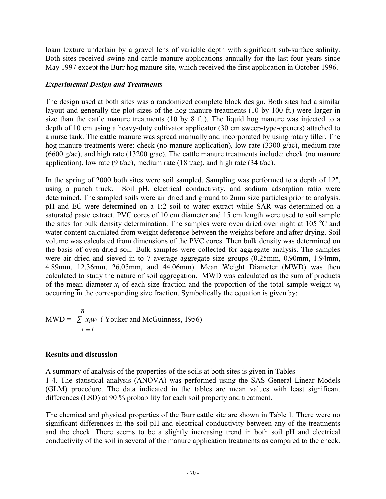loam texture underlain by a gravel lens of variable depth with significant sub-surface salinity. Both sites received swine and cattle manure applications annually for the last four years since May 1997 except the Burr hog manure site, which received the first application in October 1996.

## *Experimental Design and Treatments*

The design used at both sites was a randomized complete block design. Both sites had a similar layout and generally the plot sizes of the hog manure treatments (10 by 100 ft.) were larger in size than the cattle manure treatments (10 by 8 ft.). The liquid hog manure was injected to a depth of 10 cm using a heavy-duty cultivator applicator (30 cm sweep-type-openers) attached to a nurse tank. The cattle manure was spread manually and incorporated by using rotary tiller. The hog manure treatments were: check (no manure application), low rate (3300 g/ac), medium rate (6600 g/ac), and high rate (13200 g/ac). The cattle manure treatments include: check (no manure application), low rate (9 t/ac), medium rate (18 t/ac), and high rate (34 t/ac).

In the spring of 2000 both sites were soil sampled. Sampling was performed to a depth of 12'', using a punch truck. Soil pH, electrical conductivity, and sodium adsorption ratio were determined. The sampled soils were air dried and ground to 2mm size particles prior to analysis. pH and EC were determined on a 1:2 soil to water extract while SAR was determined on a saturated paste extract. PVC cores of 10 cm diameter and 15 cm length were used to soil sample the sites for bulk density determination. The samples were oven dried over night at 105  $^{\circ}$ C and water content calculated from weight deference between the weights before and after drying. Soil volume was calculated from dimensions of the PVC cores. Then bulk density was determined on the basis of oven-dried soil. Bulk samples were collected for aggregate analysis. The samples were air dried and sieved in to 7 average aggregate size groups (0.25mm, 0.90mm, 1.94mm, 4.89mm, 12.36mm, 26.05mm, and 44.06mm). Mean Weight Diameter (MWD) was then calculated to study the nature of soil aggregation. MWD was calculated as the sum of products of the mean diameter  $x_i$  of each size fraction and the proportion of the total sample weight  $w_i$ occurring in the corresponding size fraction. Symbolically the equation is given by:

$$
MWD = \sum_{i=1}^{n} x_i w_i
$$
 (Youker and McGuinness, 1956)

# **Results and discussion**

A summary of analysis of the properties of the soils at both sites is given in Tables 1-4. The statistical analysis (ANOVA) was performed using the SAS General Linear Models (GLM) procedure. The data indicated in the tables are mean values with least significant differences (LSD) at 90 % probability for each soil property and treatment.

The chemical and physical properties of the Burr cattle site are shown in Table 1. There were no significant differences in the soil pH and electrical conductivity between any of the treatments and the check. There seems to be a slightly increasing trend in both soil pH and electrical conductivity of the soil in several of the manure application treatments as compared to the check.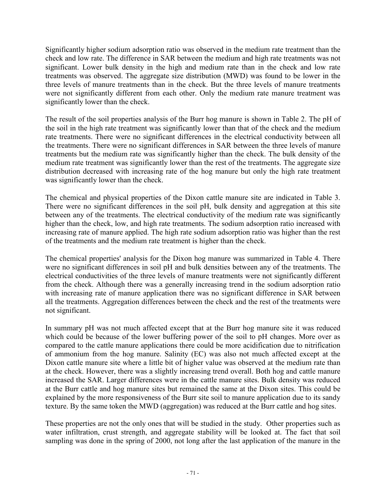Significantly higher sodium adsorption ratio was observed in the medium rate treatment than the check and low rate. The difference in SAR between the medium and high rate treatments was not significant. Lower bulk density in the high and medium rate than in the check and low rate treatments was observed. The aggregate size distribution (MWD) was found to be lower in the three levels of manure treatments than in the check. But the three levels of manure treatments were not significantly different from each other. Only the medium rate manure treatment was significantly lower than the check.

The result of the soil properties analysis of the Burr hog manure is shown in Table 2. The pH of the soil in the high rate treatment was significantly lower than that of the check and the medium rate treatments. There were no significant differences in the electrical conductivity between all the treatments. There were no significant differences in SAR between the three levels of manure treatments but the medium rate was significantly higher than the check. The bulk density of the medium rate treatment was significantly lower than the rest of the treatments. The aggregate size distribution decreased with increasing rate of the hog manure but only the high rate treatment was significantly lower than the check.

The chemical and physical properties of the Dixon cattle manure site are indicated in Table 3. There were no significant differences in the soil pH, bulk density and aggregation at this site between any of the treatments. The electrical conductivity of the medium rate was significantly higher than the check, low, and high rate treatments. The sodium adsorption ratio increased with increasing rate of manure applied. The high rate sodium adsorption ratio was higher than the rest of the treatments and the medium rate treatment is higher than the check.

The chemical properties' analysis for the Dixon hog manure was summarized in Table 4. There were no significant differences in soil pH and bulk densities between any of the treatments. The electrical conductivities of the three levels of manure treatments were not significantly different from the check. Although there was a generally increasing trend in the sodium adsorption ratio with increasing rate of manure application there was no significant difference in SAR between all the treatments. Aggregation differences between the check and the rest of the treatments were not significant.

In summary pH was not much affected except that at the Burr hog manure site it was reduced which could be because of the lower buffering power of the soil to pH changes. More over as compared to the cattle manure applications there could be more acidification due to nitrification of ammonium from the hog manure. Salinity (EC) was also not much affected except at the Dixon cattle manure site where a little bit of higher value was observed at the medium rate than at the check. However, there was a slightly increasing trend overall. Both hog and cattle manure increased the SAR. Larger differences were in the cattle manure sites. Bulk density was reduced at the Burr cattle and hog manure sites but remained the same at the Dixon sites. This could be explained by the more responsiveness of the Burr site soil to manure application due to its sandy texture. By the same token the MWD (aggregation) was reduced at the Burr cattle and hog sites.

These properties are not the only ones that will be studied in the study. Other properties such as water infiltration, crust strength, and aggregate stability will be looked at. The fact that soil sampling was done in the spring of 2000, not long after the last application of the manure in the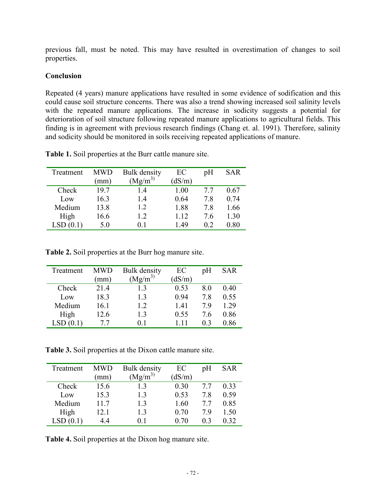previous fall, must be noted. This may have resulted in overestimation of changes to soil properties.

#### **Conclusion**

Repeated (4 years) manure applications have resulted in some evidence of sodification and this could cause soil structure concerns. There was also a trend showing increased soil salinity levels with the repeated manure applications. The increase in sodicity suggests a potential for deterioration of soil structure following repeated manure applications to agricultural fields. This finding is in agreement with previous research findings (Chang et. al. 1991). Therefore, salinity and sodicity should be monitored in soils receiving repeated applications of manure.

| Treatment | MWD  | <b>Bulk</b> density | EC     | pΗ  | <b>SAR</b> |
|-----------|------|---------------------|--------|-----|------------|
|           | mm)  | $(Mg/m^3)$          | (dS/m) |     |            |
| Check     | 19.7 | 14                  | 1.00   | 77  | 0.67       |
| Low       | 16.3 | 1.4                 | 0.64   | 78  | 0.74       |
| Medium    | 13.8 | 1.2                 | 1.88   | 7.8 | 1.66       |
| High      | 16.6 | 1.2                 | 1 1 2  | 76  | 1.30       |
| LSD(0.1)  | 5.0  | 0 I                 | 149    | 02  | 0.80       |

**Table 1.** Soil properties at the Burr cattle manure site.

**Table 2.** Soil properties at the Burr hog manure site.

| Treatment | <b>MWD</b> | <b>Bulk</b> density | EC     | pH             | SAR  |
|-----------|------------|---------------------|--------|----------------|------|
|           | (mm)       | $(Mg/m^3)$          | (dS/m) |                |      |
| Check     | 21.4       | 13                  | 0.53   | 80             | 0.40 |
| Low       | 18.3       | 13                  | 0.94   | 7.8            | 0.55 |
| Medium    | 16.1       | 12                  | 1.41   | 79             | 1.29 |
| High      | 12.6       | 13                  | 0.55   | 76             | 0.86 |
|           | 77         | 01                  |        | 0 <sup>3</sup> | 0.86 |

**Table 3.** Soil properties at the Dixon cattle manure site.

| Treatment | <b>MWD</b> | <b>Bulk</b> density | EC     | pH | SAR  |
|-----------|------------|---------------------|--------|----|------|
|           | (mm)       | $(Mg/m^3)$          | (dS/m) |    |      |
| Check     | 15.6       | 13                  | 0.30   | 77 | 0.33 |
| Low       | 15.3       | 13                  | 0.53   | 78 | 0.59 |
| Medium    | 11.7       | 13                  | 1.60   | 77 | 0.85 |
| High      | 12.1       | 13                  | 0.70   | 79 | 1.50 |
| LSD(0.1)  | 44         | 01                  | 0.70   | 03 | 0.32 |

**Table 4.** Soil properties at the Dixon hog manure site.